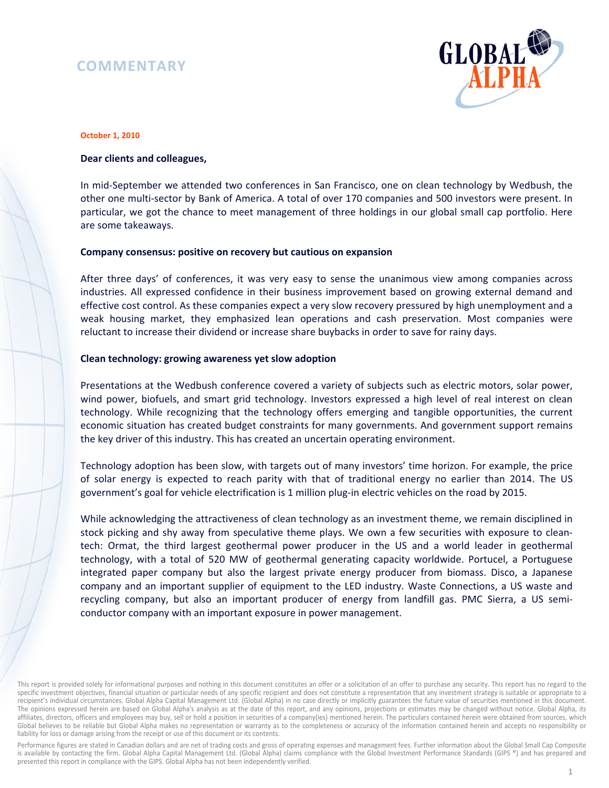# **COMMENTARY**



#### **October 1, 2010**

### **Dear clients and colleagues,**

In mid-September we attended two conferences in San Francisco, one on clean technology by Wedbush, the other one multi-sector by Bank of America. A total of over 170 companies and 500 investors were present. In particular, we got the chance to meet management of three holdings in our global small cap portfolio. Here are some takeaways.

#### **Company consensus: positive on recovery but cautious on expansion**

After three days' of conferences, it was very easy to sense the unanimous view among companies across industries. All expressed confidence in their business improvement based on growing external demand and effective cost control. As these companies expect a very slow recovery pressured by high unemployment and a weak housing market, they emphasized lean operations and cash preservation. Most companies were reluctant to increase their dividend or increase share buybacks in order to save for rainy days.

#### **Clean technology: growing awareness yet slow adoption**

Presentations at the Wedbush conference covered a variety of subjects such as electric motors, solar power, wind power, biofuels, and smart grid technology. Investors expressed a high level of real interest on clean technology. While recognizing that the technology offers emerging and tangible opportunities, the current economic situation has created budget constraints for many governments. And government support remains the key driver of this industry. This has created an uncertain operating environment.

Technology adoption has been slow, with targets out of many investors' time horizon. For example, the price of solar energy is expected to reach parity with that of traditional energy no earlier than 2014. The US government's goal for vehicle electrification is 1 million plug-in electric vehicles on the road by 2015.

While acknowledging the attractiveness of clean technology as an investment theme, we remain disciplined in stock picking and shy away from speculative theme plays. We own a few securities with exposure to cleantech: Ormat, the third largest geothermal power producer in the US and a world leader in geothermal technology, with a total of 520 MW of geothermal generating capacity worldwide. Portucel, a Portuguese integrated paper company but also the largest private energy producer from biomass. Disco, a Japanese company and an important supplier of equipment to the LED industry. Waste Connections, a US waste and recycling company, but also an important producer of energy from landfill gas. PMC Sierra, a US semiconductor company with an important exposure in power management.

Performance figures are stated in Canadian dollars and are net of trading costs and gross of operating expenses and management fees. Further information about the Global Small Cap Composite is available by contacting the firm. Global Alpha Capital Management Ltd. (Global Alpha) claims compliance with the Global Investment Performance Standards (GIPS ®) and has prepared and presented this report in compliance with the GIPS. Global Alpha has not been independently verified.

This report is provided solely for informational purposes and nothing in this document constitutes an offer or a solicitation of an offer to purchase any security. This report has no regard to the specific investment objectives, financial situation or particular needs of any specific recipient and does not constitute a representation that any investment strategy is suitable or appropriate to a recipient's individual circumstances. Global Alpha Capital Management Ltd. (Global Alpha) in no case directly or implicitly guarantees the future value of securities mentioned in this document. The opinions expressed herein are based on Global Alpha's analysis as at the date of this report, and any opinions, projections or estimates may be changed without notice. Global Alpha, its affiliates, directors, officers and employees may buy, sell or hold a position in securities of a company(ies) mentioned herein. The particulars contained herein were obtained from sources, which Global believes to be reliable but Global Alpha makes no representation or warranty as to the completeness or accuracy of the information contained herein and accepts no responsibility or liability for loss or damage arising from the receipt or use of this document or its contents.